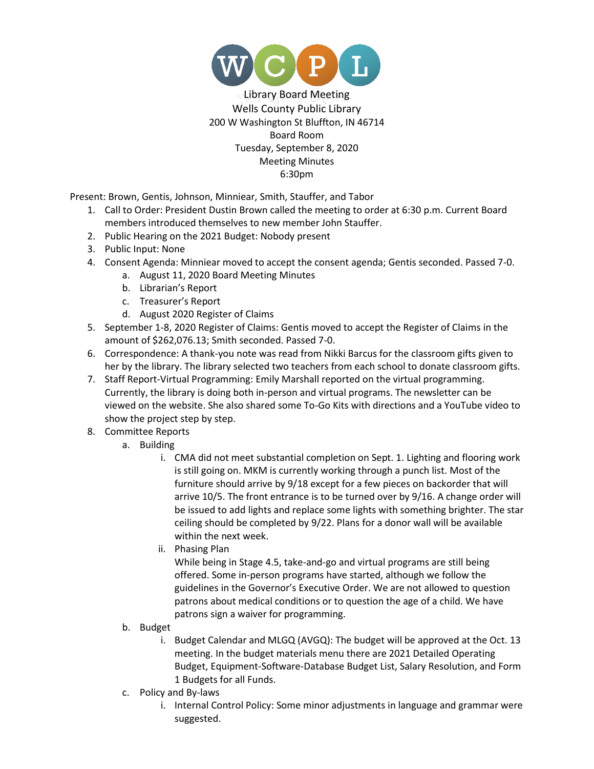

Library Board Meeting Wells County Public Library 200 W Washington St Bluffton, IN 46714 Board Room Tuesday, September 8, 2020 Meeting Minutes 6:30pm

Present: Brown, Gentis, Johnson, Minniear, Smith, Stauffer, and Tabor

- 1. Call to Order: President Dustin Brown called the meeting to order at 6:30 p.m. Current Board members introduced themselves to new member John Stauffer.
- 2. Public Hearing on the 2021 Budget: Nobody present
- 3. Public Input: None
- 4. Consent Agenda: Minniear moved to accept the consent agenda; Gentis seconded. Passed 7-0.
	- a. August 11, 2020 Board Meeting Minutes
	- b. Librarian's Report
	- c. Treasurer's Report
	- d. August 2020 Register of Claims
- 5. September 1-8, 2020 Register of Claims: Gentis moved to accept the Register of Claims in the amount of \$262,076.13; Smith seconded. Passed 7-0.
- 6. Correspondence: A thank-you note was read from Nikki Barcus for the classroom gifts given to her by the library. The library selected two teachers from each school to donate classroom gifts.
- 7. Staff Report-Virtual Programming: Emily Marshall reported on the virtual programming. Currently, the library is doing both in-person and virtual programs. The newsletter can be viewed on the website. She also shared some To-Go Kits with directions and a YouTube video to show the project step by step.
- 8. Committee Reports
	- a. Building
		- i. CMA did not meet substantial completion on Sept. 1. Lighting and flooring work is still going on. MKM is currently working through a punch list. Most of the furniture should arrive by 9/18 except for a few pieces on backorder that will arrive 10/5. The front entrance is to be turned over by 9/16. A change order will be issued to add lights and replace some lights with something brighter. The star ceiling should be completed by 9/22. Plans for a donor wall will be available within the next week.
		- ii. Phasing Plan

While being in Stage 4.5, take-and-go and virtual programs are still being offered. Some in-person programs have started, although we follow the guidelines in the Governor's Executive Order. We are not allowed to question patrons about medical conditions or to question the age of a child. We have patrons sign a waiver for programming.

- b. Budget
	- i. Budget Calendar and MLGQ (AVGQ): The budget will be approved at the Oct. 13 meeting. In the budget materials menu there are 2021 Detailed Operating Budget, Equipment-Software-Database Budget List, Salary Resolution, and Form 1 Budgets for all Funds.
- c. Policy and By-laws
	- i. Internal Control Policy: Some minor adjustments in language and grammar were suggested.